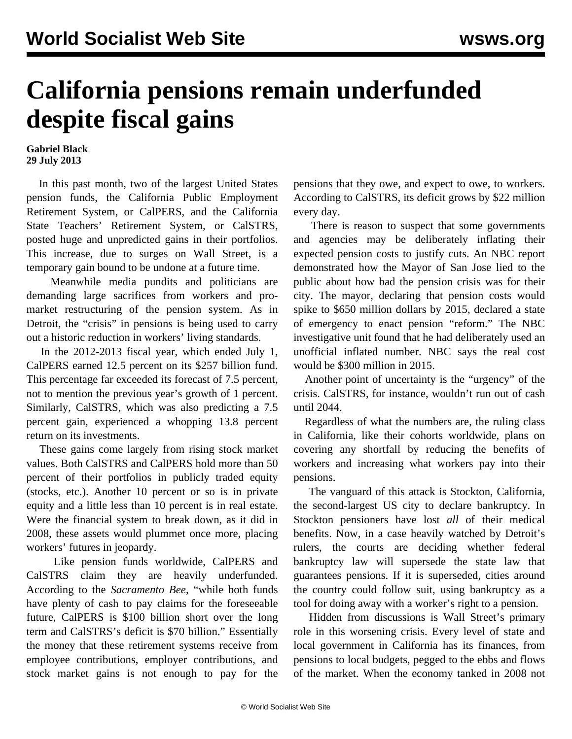## **California pensions remain underfunded despite fiscal gains**

**Gabriel Black 29 July 2013**

 In this past month, two of the largest United States pension funds, the California Public Employment Retirement System, or CalPERS, and the California State Teachers' Retirement System, or CalSTRS, posted huge and unpredicted gains in their portfolios. This increase, due to surges on Wall Street, is a temporary gain bound to be undone at a future time.

 Meanwhile media pundits and politicians are demanding large sacrifices from workers and promarket restructuring of the pension system. As in Detroit, the "crisis" in pensions is being used to carry out a historic reduction in workers' living standards.

 In the 2012-2013 fiscal year, which ended July 1, CalPERS earned 12.5 percent on its \$257 billion fund. This percentage far exceeded its forecast of 7.5 percent, not to mention the previous year's growth of 1 percent. Similarly, CalSTRS, which was also predicting a 7.5 percent gain, experienced a whopping 13.8 percent return on its investments.

 These gains come largely from rising stock market values. Both CalSTRS and CalPERS hold more than 50 percent of their portfolios in publicly traded equity (stocks, etc.). Another 10 percent or so is in private equity and a little less than 10 percent is in real estate. Were the financial system to break down, as it did in 2008, these assets would plummet once more, placing workers' futures in jeopardy.

 Like pension funds worldwide, CalPERS and CalSTRS claim they are heavily underfunded. According to the *Sacramento Bee*, "while both funds have plenty of cash to pay claims for the foreseeable future, CalPERS is \$100 billion short over the long term and CalSTRS's deficit is \$70 billion." Essentially the money that these retirement systems receive from employee contributions, employer contributions, and stock market gains is not enough to pay for the pensions that they owe, and expect to owe, to workers. According to CalSTRS, its deficit grows by \$22 million every day.

 There is reason to suspect that some governments and agencies may be deliberately inflating their expected pension costs to justify cuts. An NBC [report](http://www.nbcbayarea.com/investigations/series/san-jose-pension-plans-under-scrutiny/Guessing-Pensions-138981764.html) demonstrated how the Mayor of San Jose lied to the public about how bad the pension crisis was for their city. The mayor, declaring that pension costs would spike to \$650 million dollars by 2015, declared a state of emergency to enact pension "reform." The NBC investigative unit found that he had deliberately used an unofficial inflated number. NBC says the real cost would be \$300 million in 2015.

 Another point of uncertainty is the "urgency" of the crisis. CalSTRS, for instance, wouldn't run out of cash until 2044.

 Regardless of what the numbers are, the ruling class in California, like their cohorts worldwide, plans on covering any shortfall by reducing the benefits of workers and increasing what workers pay into their pensions.

 The vanguard of this attack is Stockton, California, the second-largest US city to declare bankruptcy. In Stockton pensioners have lost *all* of their medical benefits. Now, in a case heavily watched by Detroit's rulers, the courts are deciding whether federal bankruptcy law will supersede the state law that guarantees pensions. If it is superseded, cities around the country could follow suit, using bankruptcy as a tool for doing away with a worker's right to a pension.

 Hidden from discussions is Wall Street's primary role in this worsening crisis. Every level of state and local government in California has its finances, from pensions to local budgets, pegged to the ebbs and flows of the market. When the economy tanked in 2008 not